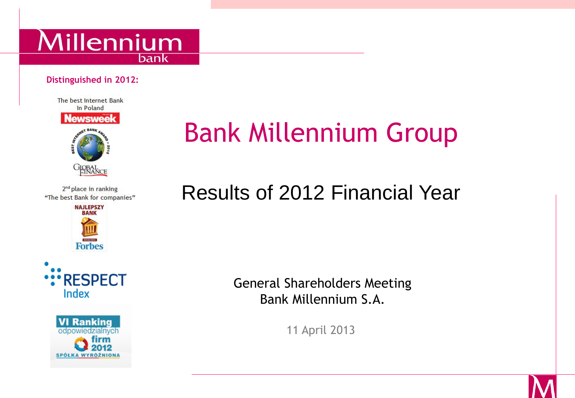

#### **Distinguished in 2012:**



2<sup>nd</sup> place in ranking "The best Bank for companies"







# Bank Millennium Group

## Results of 2012 Financial Year

General Shareholders Meeting Bank Millennium S.A.

11 April 2013

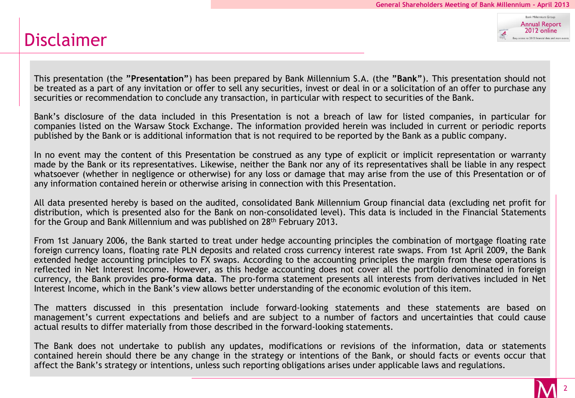#### Disclaimer

**Bank Millengium Group Annual Report** 2012 online to 2012 financial data and main

This presentation (the **"Presentation"**) has been prepared by Bank Millennium S.A. (the **"Bank"**). This presentation should not be treated as a part of any invitation or offer to sell any securities, invest or deal in or a solicitation of an offer to purchase any securities or recommendation to conclude any transaction, in particular with respect to securities of the Bank.

Bank's disclosure of the data included in this Presentation is not a breach of law for listed companies, in particular for companies listed on the Warsaw Stock Exchange. The information provided herein was included in current or periodic reports published by the Bank or is additional information that is not required to be reported by the Bank as a public company.

In no event may the content of this Presentation be construed as any type of explicit or implicit representation or warranty made by the Bank or its representatives. Likewise, neither the Bank nor any of its representatives shall be liable in any respect whatsoever (whether in negligence or otherwise) for any loss or damage that may arise from the use of this Presentation or of any information contained herein or otherwise arising in connection with this Presentation.

All data presented hereby is based on the audited, consolidated Bank Millennium Group financial data (excluding net profit for distribution, which is presented also for the Bank on non-consolidated level). This data is included in the Financial Statements for the Group and Bank Millennium and was published on 28<sup>th</sup> February 2013.

From 1st January 2006, the Bank started to treat under hedge accounting principles the combination of mortgage floating rate foreign currency loans, floating rate PLN deposits and related cross currency interest rate swaps. From 1st April 2009, the Bank extended hedge accounting principles to FX swaps. According to the accounting principles the margin from these operations is reflected in Net Interest Income. However, as this hedge accounting does not cover all the portfolio denominated in foreign currency, the Bank provides **pro-forma data**. The pro-forma statement presents all interests from derivatives included in Net Interest Income, which in the Bank's view allows better understanding of the economic evolution of this item.

The matters discussed in this presentation include forward-looking statements and these statements are based on management's current expectations and beliefs and are subject to a number of factors and uncertainties that could cause actual results to differ materially from those described in the forward-looking statements.

The Bank does not undertake to publish any updates, modifications or revisions of the information, data or statements contained herein should there be any change in the strategy or intentions of the Bank, or should facts or events occur that affect the Bank's strategy or intentions, unless such reporting obligations arises under applicable laws and regulations.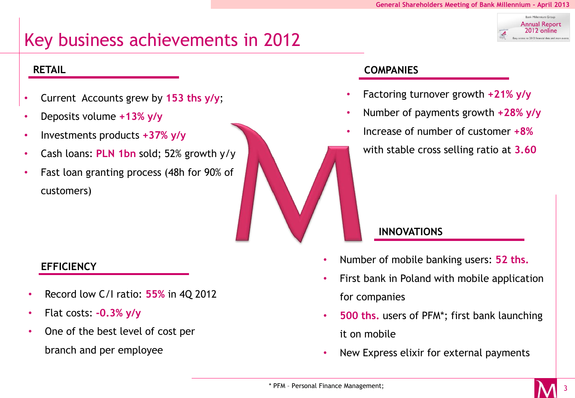**Annual Report** 2012 online

## Key business achievements in 2012

- Current Accounts grew by **153 ths y/y**;
- Deposits volume **+13% y/y**
- Investments products **+37% y/y**
- Cash loans: **PLN 1bn** sold; 52% growth y/y
- Fast loan granting process (48h for 90% of customers)

- Record low C/I ratio: **55%** in 4Q 2012
- Flat costs: **-0.3% y/y**
- One of the best level of cost per branch and per employee

#### **RETAIL COMPANIES**

- Factoring turnover growth **+21% y/y**
- Number of payments growth **+28% y/y**
- Increase of number of customer **+8%**

with stable cross selling ratio at **3.60**

#### **INNOVATIONS**

- **EFFICIENCY** Number of mobile banking users: **52 ths.** 
	- First bank in Poland with mobile application for companies
	- **500 ths.** users of PFM\*; first bank launching it on mobile
	- New Express elixir for external payments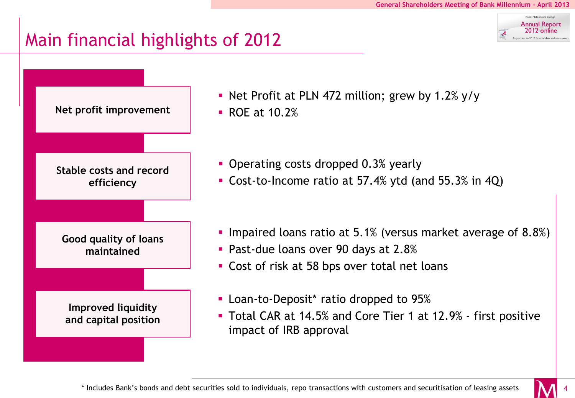**Annual Report** 2012 online

## Main financial highlights of 2012



Net Profit at PLN 472 million; grew by 1.2%  $y/y$ 

- Operating costs dropped 0.3% yearly
- Cost-to-Income ratio at 57.4% ytd (and 55.3% in 4Q)
- Impaired loans ratio at 5.1% (versus market average of 8.8%)
- **Past-due loans over 90 days at 2.8%**
- **Cost of risk at 58 bps over total net loans**
- **-** Loan-to-Deposit\* ratio dropped to 95%
- Total CAR at 14.5% and Core Tier 1 at 12.9% first positive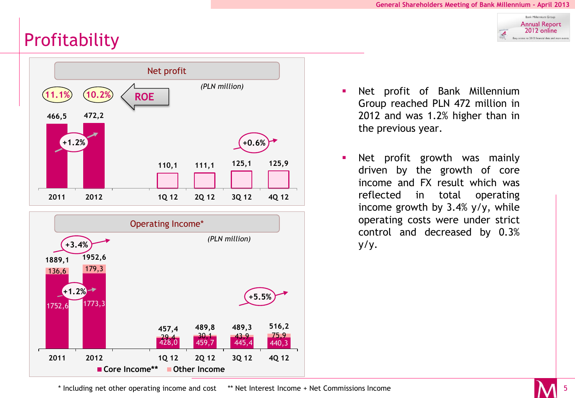Bank Millennium Group **Annual Report** 2012 online .<br>Easy access to 2012 financial data and main

## **Profitability**





- Net profit of Bank Millennium Group reached PLN 472 million in 2012 and was 1.2% higher than in the previous year.
- **Net profit growth was mainly** driven by the growth of core income and FX result which was reflected in total operating income growth by 3.4% y/y, while operating costs were under strict control and decreased by 0.3% y/y.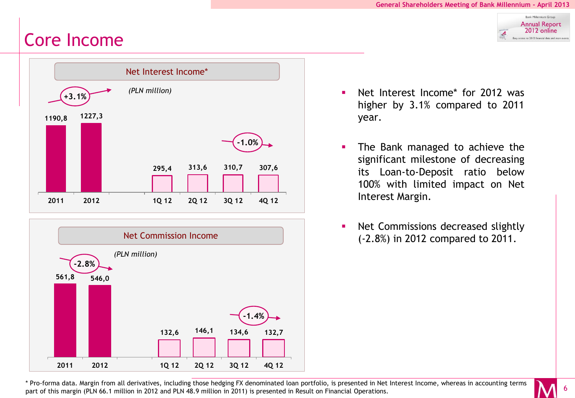Bank Millennium Group **Annual Report** 2012 online .<br>Jasy access to 2012 financial data and mair

#### Core Income





- **Net Interest Income\*** for 2012 was higher by 3.1% compared to 2011 year.
- **The Bank managed to achieve the** significant milestone of decreasing its Loan-to-Deposit ratio below 100% with limited impact on Net Interest Margin.
- Net Commissions decreased slightly (-2.8%) in 2012 compared to 2011.

\* Pro-forma data. Margin from all derivatives, including those hedging FX denominated loan portfolio, is presented in Net Interest Income, whereas in accounting terms part of this margin (PLN 66.1 million in 2012 and PLN 48.9 million in 2011) is presented in Result on Financial Operations.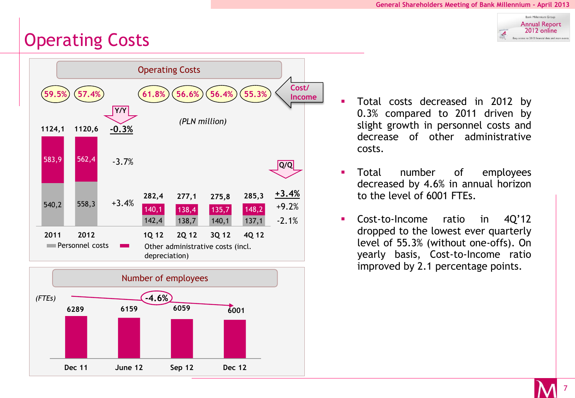Bank Millennium Group **Annual Report** 2012 online Easy access to 2012 financial data and main ey

### Operating Costs





- **Total costs decreased in 2012 by** 0.3% compared to 2011 driven by slight growth in personnel costs and decrease of other administrative costs.
- **Total** number of employees decreased by 4.6% in annual horizon to the level of 6001 FTEs.
- Cost-to-Income ratio in 4Q'12 dropped to the lowest ever quarterly level of 55.3% (without one-offs). On yearly basis, Cost-to-Income ratio improved by 2.1 percentage points.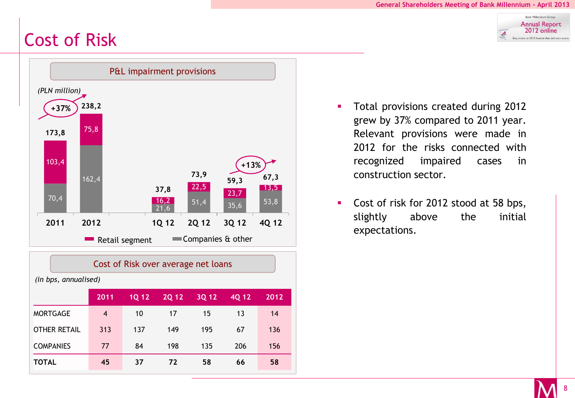## Cost of Risk



| Cost of Risk over average net loans |      |              |              |       |       |      |  |
|-------------------------------------|------|--------------|--------------|-------|-------|------|--|
| (in bps, annualised)                |      |              |              |       |       |      |  |
|                                     | 2011 | <b>1Q 12</b> | <b>2Q 12</b> | 3Q 12 | 4Q 12 | 2012 |  |
| <b>MORTGAGE</b>                     | 4    | 10           | 17           | 15    | 13    | 14   |  |
| <b>OTHER RETAIL</b>                 | 313  | 137          | 149          | 195   | 67    | 136  |  |
| <b>COMPANIES</b>                    | 77   | 84           | 198          | 135   | 206   | 156  |  |
| <b>TOTAL</b>                        | 45   | 37           | 72           | 58    | 66    | 58   |  |

- **Total provisions created during 2012** grew by 37% compared to 2011 year. Relevant provisions were made in 2012 for the risks connected with recognized impaired cases in construction sector.
- Cost of risk for 2012 stood at 58 bps, slightly above the initial expectations.

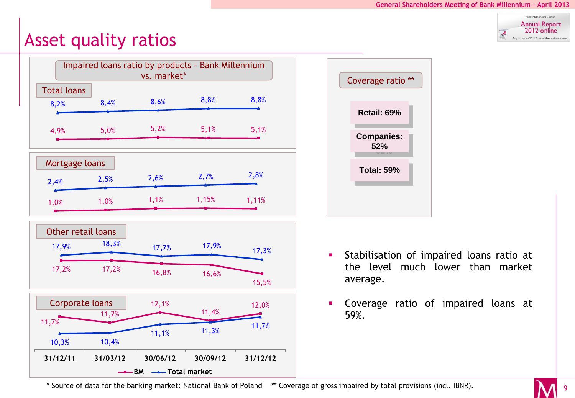

#### Asset quality ratios





- **Stabilisation of impaired loans ratio at** the level much lower than market average.
- Coverage ratio of impaired loans at 59%.

\* Source of data for the banking market: National Bank of Poland \*\* Coverage of gross impaired by total provisions (incl. IBNR).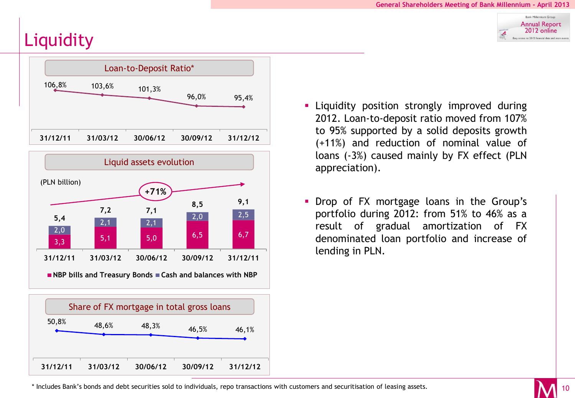**Bank Millennium Crow Annual Report** 2012 online .<br>lasy access to 2012 financial data and main

## **Liquidity**







- **Example 1** Liquidity position strongly improved during 2012. Loan-to-deposit ratio moved from 107% to 95% supported by a solid deposits growth (+11%) and reduction of nominal value of loans (-3%) caused mainly by FX effect (PLN appreciation).
- **Drop of FX mortgage loans in the Group's** portfolio during 2012: from 51% to 46% as a result of gradual amortization of FX denominated loan portfolio and increase of lending in PLN.

\* Includes Bank's bonds and debt securities sold to individuals, repo transactions with customers and securitisation of leasing assets.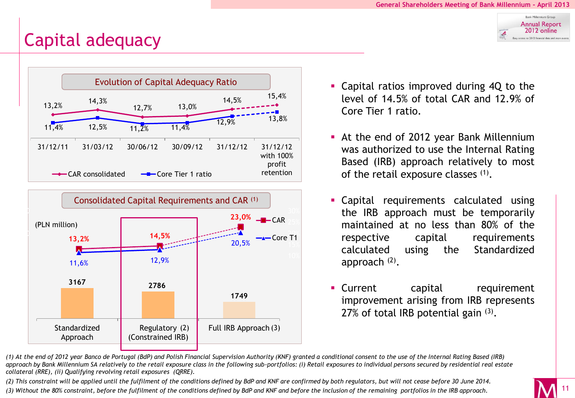#### Bank Millennium Group **Annual Report** 2012 online .<br>Jasy access to 2012 financial data and m.

## Capital adequacy





- **Capital ratios improved during 4Q to the** level of 14.5% of total CAR and 12.9% of Core Tier 1 ratio.
- At the end of 2012 year Bank Millennium was authorized to use the Internal Rating Based (IRB) approach relatively to most of the retail exposure classes (1).
- **Capital requirements calculated using** the IRB approach must be temporarily maintained at no less than 80% of the respective capital requirements calculated using the Standardized approach<sup>(2)</sup>.
- **Current** capital requirement improvement arising from IRB represents  $27\%$  of total IRB potential gain  $(3)$ .

*(1) At the end of 2012 year Banco de Portugal (BdP) and Polish Financial Supervision Authority (KNF) granted a conditional consent to the use of the Internal Rating Based (IRB) approach by Bank Millennium SA relatively to the retail exposure class in the following sub-portfolios: (i) Retail exposures to individual persons secured by residential real estate collateral (RRE), (ii) Qualifying revolving retail exposures (QRRE).* 

*(2) This constraint will be applied until the fulfilment of the conditions defined by BdP and KNF are confirmed by both regulators, but will not cease before 30 June 2014. (3) Without the 80% constraint, before the fulfilment of the conditions defined by BdP and KNF and before the inclusion of the remaining portfolios in the IRB approach.*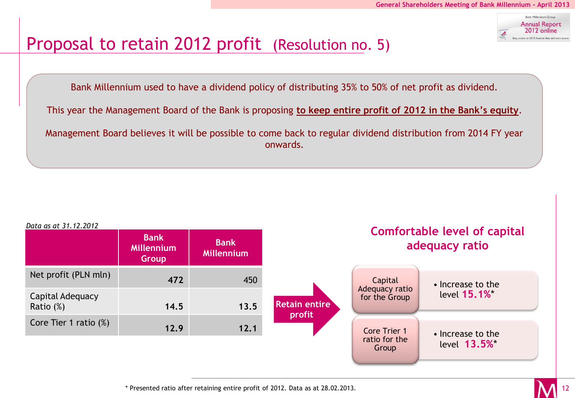

#### Proposal to retain 2012 profit (Resolution no. 5)

Bank Millennium used to have a dividend policy of distributing 35% to 50% of net profit as dividend.

This year the Management Board of the Bank is proposing **to keep entire profit of 2012 in the Bank's equity**.

Management Board believes it will be possible to come back to regular dividend distribution from 2014 FY year onwards.



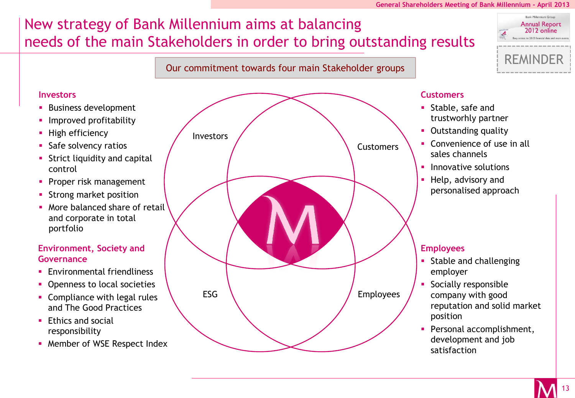#### **General Shareholders Meeting of Bank Millennium - April 2013**

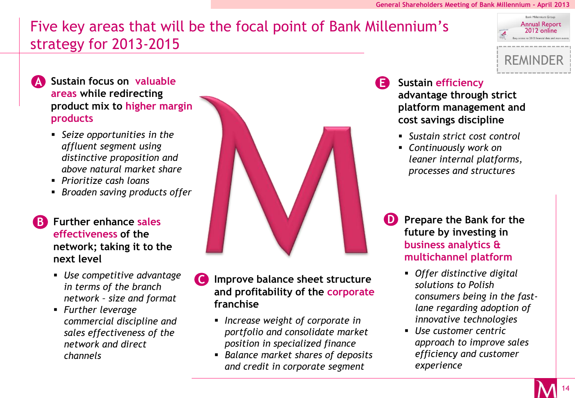REMINDER

**Bank Millennium Group Annual Report** 2012 online re to 2012 financial data an

#### Five key areas that will be the focal point of Bank Millennium's strategy for 2013-2015



**A Sustain focus on valuable areas while redirecting product mix to higher margin products**

- *Seize opportunities in the affluent segment using distinctive proposition and above natural market share*
- *Prioritize cash loans*
- *Broaden saving products offer*

**effectiveness of the network; taking it to the next level**

- *Use competitive advantage in terms of the branch network – size and format*
- *Further leverage commercial discipline and sales effectiveness of the network and direct channels*



- **C Improve balance sheet structure and profitability of the corporate franchise**
	- *Increase weight of corporate in portfolio and consolidate market position in specialized finance*
	- *Balance market shares of deposits and credit in corporate segment*

#### **Sustain efficiency**

**E**

**advantage through strict platform management and cost savings discipline**

- *Sustain strict cost control*
- *Continuously work on leaner internal platforms, processes and structures*
- **Prepare the Bank for the future by investing in business analytics & multichannel platform**
	- *Offer distinctive digital solutions to Polish consumers being in the fastlane regarding adoption of innovative technologies*
	- *Use customer centric approach to improve sales efficiency and customer experience*

14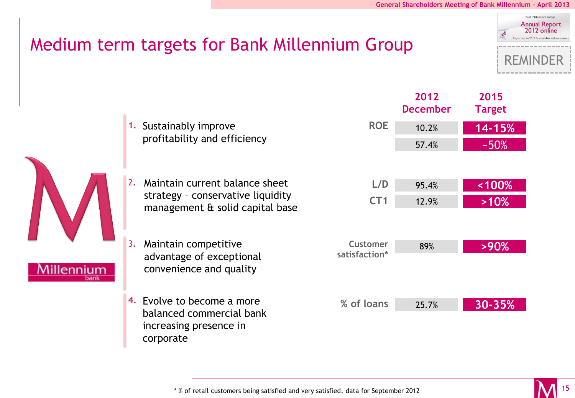**2015 Target**

#### ank Millannium Grou **Annual Report** 2012 online REMINDER

### Medium term targets for Bank Millennium Group



increasing presence in

corporate

| <b>ROE</b>                       | 10.2% | 14-15%     |  |  |
|----------------------------------|-------|------------|--|--|
|                                  | 57.4% | $-50%$     |  |  |
|                                  |       |            |  |  |
| L/D                              | 95.4% | < 100%     |  |  |
| CT1                              | 12.9% | >10%       |  |  |
|                                  |       |            |  |  |
| <b>Customer</b><br>satisfaction* | 89%   | >90%       |  |  |
|                                  |       |            |  |  |
| % of loans                       | 25.7% | $30 - 35%$ |  |  |
|                                  |       |            |  |  |

**2012 December**

\* % of retail customers being satisfied and very satisfied, data for September 2012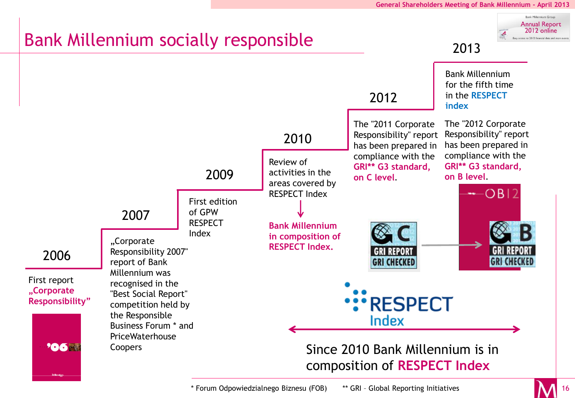